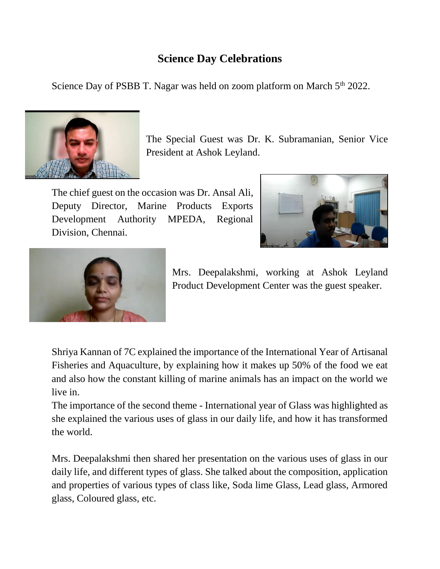## **Science Day Celebrations**

Science Day of PSBB T. Nagar was held on zoom platform on March  $5<sup>th</sup>$  2022.



The Special Guest was Dr. K. Subramanian, Senior Vice President at Ashok Leyland.

The chief guest on the occasion was Dr. Ansal Ali, Deputy Director, Marine Products Exports Development Authority MPEDA, Regional Division, Chennai.





Mrs. Deepalakshmi, working at Ashok Leyland Product Development Center was the guest speaker.

Shriya Kannan of 7C explained the importance of the International Year of Artisanal Fisheries and Aquaculture, by explaining how it makes up 50% of the food we eat and also how the constant killing of marine animals has an impact on the world we live in.

The importance of the second theme - International year of Glass was highlighted as she explained the various uses of glass in our daily life, and how it has transformed the world.

Mrs. Deepalakshmi then shared her presentation on the various uses of glass in our daily life, and different types of glass. She talked about the composition, application and properties of various types of class like, Soda lime Glass, Lead glass, Armored glass, Coloured glass, etc.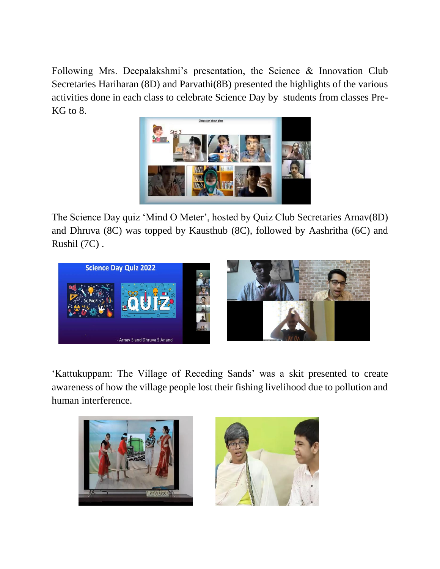Following Mrs. Deepalakshmi's presentation, the Science & Innovation Club Secretaries Hariharan (8D) and Parvathi(8B) presented the highlights of the various activities done in each class to celebrate Science Day by students from classes Pre-KG to 8.



The Science Day quiz 'Mind O Meter', hosted by Quiz Club Secretaries Arnav(8D) and Dhruva (8C) was topped by Kausthub (8C), followed by Aashritha (6C) and Rushil (7C) .



'Kattukuppam: The Village of Receding Sands' was a skit presented to create awareness of how the village people lost their fishing livelihood due to pollution and human interference.